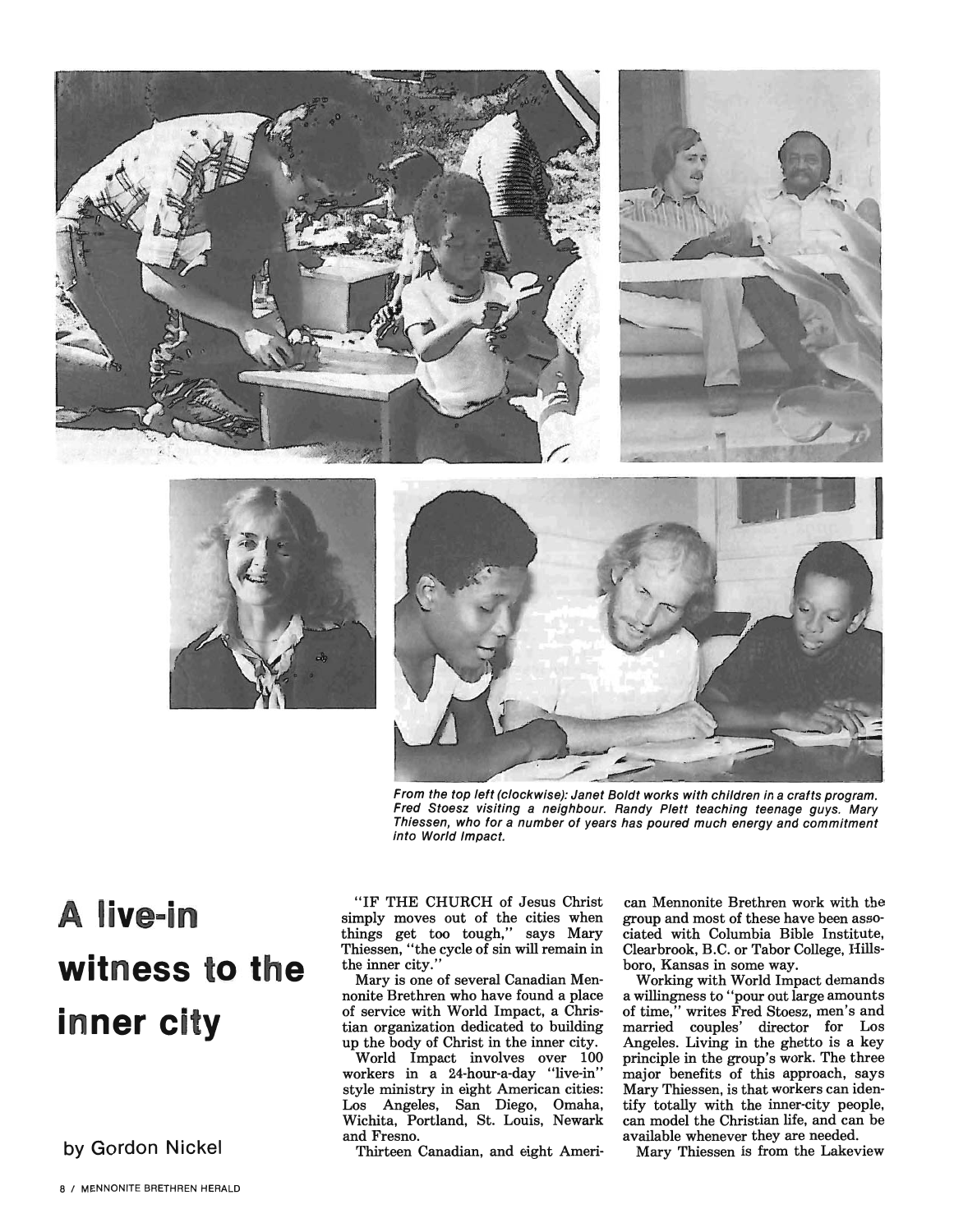





From the top left (clockwise): Janet Boldt works with children in a crafts program. Fred Stoesz visiting a neighbour. Randy Plett teaching teenage guys. Mary Thiessen, who for a number of years has poured much energy and commitment into World Impact.

## **A live-in witness to the inner city**

**by Gordon Nickel** 

"IF THE CHURCH of Jesus Christ simply moves out of the cities when things get too tough," says Mary Thiessen, "the cycle of sin will remain in the inner city."

Mary is one of several Canadian Mennonite Brethren who have found a place of service with World Impact, a Christian organization dedicated to building up the body of Christ in the inner city.

World Impact involves over 100 workers in a 24-hour-a-day "live-in" style ministry in eight American cities: Los Angeles, San Diego, Omaha, Wichita, Portland, St. Louis, Newark and Fresno.

Thirteen Canadian, and eight Ameri-

can Mennonite Brethren work with the group and most of these have been associated with Columbia Bible Institute, Clearbrook, B.C. or Tabor College, Hillsboro, Kansas in some way.

Working with World Impact demands a willingness to "pour out large amounts of time," writes Fred Stoesz, men's and married couples' director for Los Angeles. Living in the ghetto is a key principle in the group's work. The three major benefits of this approach, says Mary Thiessen, is that workers can identify totally with the inner-city people, can model the Christian life, and can be available whenever they are needed.

Mary Thiessen is from the Lakeview